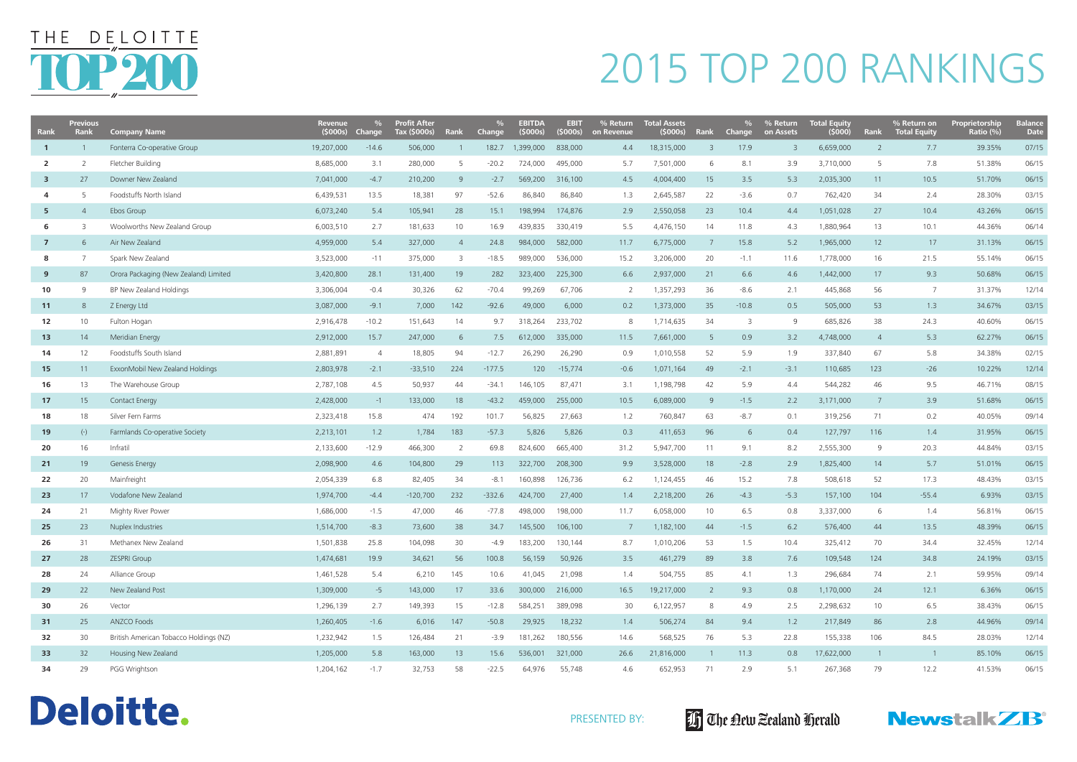| Rank                    | <b>Previous</b><br>Rank | <b>Company Name</b>                    | <b>Revenue</b><br>(5000s) | <b>Change</b>  | <b>Profit After</b><br>Tax (\$000s) | Rank           | <b>Change</b> | EBITDA<br>(5000s) | <b>EBIT</b><br>(5000s) | % Return<br>on Revenue | <b>Total Assets</b><br>(\$000s) | Rank            | <b>Change</b> | % Return<br>on Assets   | Total Equity<br>(5000) | Rank            | % Return on<br><b>Total Equity</b> | Proprietorship<br>Ratio (%) | <b>Balance</b><br><b>Date</b> |
|-------------------------|-------------------------|----------------------------------------|---------------------------|----------------|-------------------------------------|----------------|---------------|-------------------|------------------------|------------------------|---------------------------------|-----------------|---------------|-------------------------|------------------------|-----------------|------------------------------------|-----------------------------|-------------------------------|
| $\overline{1}$          |                         | Fonterra Co-operative Group            | 19,207,000                | $-14.6$        | 506,000                             |                | 182.7         | 1,399,000         | 838,000                | 4.4                    | 18,315,000                      | 3               | 17.9          | $\overline{\mathbf{3}}$ | 6,659,000              | 2               | 7.7                                | 39.35%                      | 07/15                         |
| $\overline{2}$          |                         | Fletcher Building                      | 8,685,000                 | 3.1            | 280,000                             | -5             | $-20.2$       | 724,000           | 495,000                | 5.7                    | 7,501,000                       | 6               | 8.1           | 3.9                     | 3,710,000              | 5               | 7.8                                | 51.38%                      | 06/15                         |
| $\overline{\mathbf{3}}$ | 27                      | Downer New Zealand                     | 7,041,000                 | $-4.7$         | 210,200                             | -9             | $-2.7$        | 569,200           | 316,100                | 4.5                    | 4,004,400                       | 15              | 3.5           | 5.3                     | 2,035,300              | 11              | 10.5                               | 51.70%                      | 06/15                         |
| 4                       | 5                       | Foodstuffs North Island                | 6,439,531                 | 13.5           | 18,381                              | 97             | $-52.6$       | 86,840            | 86,840                 | 1.3                    | 2,645,587                       | 22              | $-3.6$        | 0.7                     | 762,420                | 34              | 2.4                                | 28.30%                      | 03/15                         |
| 5                       |                         | Ebos Group                             | 6,073,240                 | 5.4            | 105,941                             | 28             | 15.1          | 198,994           | 174,876                | 2.9                    | 2,550,058                       | 23              | 10.4          | 4.4                     | 1,051,028              | 27              | 10.4                               | 43.26%                      | 06/15                         |
| 6                       |                         | Woolworths New Zealand Group           | 6,003,510                 | 2.7            | 181,633                             | 10             | 16.9          | 439,835           | 330,419                | 5.5                    | 4,476,150                       | 14              | 11.8          | 4.3                     | 1,880,964              | 13              | 10.1                               | 44.36%                      | 06/14                         |
| $\overline{7}$          | 6.                      | Air New Zealand                        | 4,959,000                 | 5.4            | 327,000                             | $\overline{4}$ | 24.8          | 984,000           | 582,000                | 11.7                   | 6,775,000                       | 7               | 15.8          | 5.2                     | 1,965,000              | 12              | 17                                 | 31.13%                      | 06/15                         |
| 8                       |                         | Spark New Zealand                      | 3,523,000                 | $-11$          | 375,000                             | -3             | $-18.5$       | 989,000           | 536,000                | 15.2                   | 3,206,000                       | 20              | $-1.1$        | 11.6                    | 1,778,000              | 16              | 21.5                               | 55.14%                      | 06/15                         |
| 9                       | 87                      | Orora Packaging (New Zealand) Limited  | 3,420,800                 | 28.1           | 131,400                             | 19             | 282           | 323,400           | 225,300                | 6.6                    | 2,937,000                       | 21              | 6.6           | 4.6                     | 1,442,000              | 17              | 9.3                                | 50.68%                      | 06/15                         |
| 10                      | 9                       | BP New Zealand Holdings                | 3,306,004                 | $-0.4$         | 30,326                              | 62             | $-70.4$       | 99,269            | 67,706                 | <sup>2</sup>           | 1,357,293                       | 36              | $-8.6$        | 2.1                     | 445,868                | 56              | 7                                  | 31.37%                      | 12/14                         |
| 11                      | 8                       | Z Energy Ltd                           | 3,087,000                 | $-9.1$         | 7,000                               | 142            | $-92.6$       | 49,000            | 6,000                  | 0.2                    | 1,373,000                       | 35              | $-10.8$       | 0.5                     | 505,000                | 53              | 1.3                                | 34.67%                      | 03/15                         |
| 12                      | 10 <sup>°</sup>         | Fulton Hogan                           | 2,916,478                 | $-10.2$        | 151,643                             | 14             | 9.7           | 318,264           | 233,702                | 8                      | 1,714,635                       | 34              |               | 9                       | 685,826                | 38              | 24.3                               | 40.60%                      | 06/15                         |
| 13 <sub>1</sub>         | 14                      | Meridian Energy                        | 2,912,000                 | 15.7           | 247,000                             | 6              | 7.5           | 612,000           | 335,000                | 11.5                   | 7,661,000                       | 5               | 0.9           | 3.2                     | 4,748,000              | $\overline{4}$  | 5.3                                | 62.27%                      | 06/15                         |
| 14                      | 12                      | Foodstuffs South Island                | 2,881,891                 | $\overline{4}$ | 18,805                              | 94             | $-12.7$       | 26,290            | 26,290                 | 0.9                    | 1,010,558                       | 52              | 5.9           | 1.9                     | 337,840                | 67              | 5.8                                | 34.38%                      | 02/15                         |
| 15                      | 11                      | ExxonMobil New Zealand Holdings        | 2,803,978                 | $-2.1$         | $-33,510$                           | 224            | $-177.5$      | 120               | $-15,774$              | $-0.6$                 | 1,071,164                       | 49              | $-2.1$        | $-3.1$                  | 110,685                | 123             | $-26$                              | 10.22%                      | 12/14                         |
| 16                      | 13                      | The Warehouse Group                    | 2,787,108                 | 4.5            | 50,937                              | 44             | $-34.1$       | 146,105           | 87,471                 | 3.1                    | 1,198,798                       | 42              | 5.9           | 4.4                     | 544,282                | 46              | 9.5                                | 46.71%                      | 08/15                         |
| 17                      | 15                      | <b>Contact Energy</b>                  | 2,428,000                 | $-1$           | 133,000                             | 18             | $-43.2$       | 459,000           | 255,000                | 10.5                   | 6,089,000                       | 9               | $-1.5$        | 2.2                     | 3,171,000              | $7\overline{ }$ | 3.9                                | 51.68%                      | 06/15                         |
| 18                      | 18                      | Silver Fern Farms                      | 2,323,418                 | 15.8           | 474                                 | 192            | 101.7         | 56,825            | 27,663                 | 1.2                    | 760,847                         | 63              | $-8.7$        | 0.1                     | 319,256                | 71              | 0.2                                | 40.05%                      | 09/14                         |
| 19                      | $(-)$                   | Farmlands Co-operative Society         | 2,213,101                 | 1.2            | 1,784                               | 183            | $-57.3$       | 5,826             | 5,826                  | 0.3                    | 411,653                         | 96              | 6             | 0.4                     | 127,797                | 116             | 1.4                                | 31.95%                      | 06/15                         |
| 20                      | 16                      | Infratil                               | 2,133,600                 | $-12.9$        | 466,300                             | -2             | 69.8          | 824,600           | 665,400                | 31.2                   | 5,947,700                       | 11              | 9.1           | 8.2                     | 2,555,300              | 9               | 20.3                               | 44.84%                      | 03/15                         |
| 21                      | 19                      | Genesis Energy                         | 2,098,900                 | 4.6            | 104,800                             | 29             | 113           | 322,700           | 208,300                | 9.9                    | 3,528,000                       | 18              | $-2.8$        | 2.9                     | 1,825,400              | 14              | 5.7                                | 51.01%                      | 06/15                         |
| 22                      | 20                      | Mainfreight                            | 2,054,339                 | 6.8            | 82,405                              | 34             | $-8.1$        | 160,898           | 126,736                | 6.2                    | 1,124,455                       | 46              | 15.2          | 7.8                     | 508,618                | 52              | 17.3                               | 48.43%                      | 03/15                         |
| 23                      | 17                      | Vodafone New Zealand                   | 1,974,700                 | $-4.4$         | $-120,700$                          | 232            | $-332.6$      | 424,700           | 27,400                 | 1.4                    | 2,218,200                       | 26              | $-4.3$        | $-5.3$                  | 157,100                | 104             | $-55.4$                            | 6.93%                       | 03/15                         |
| 24                      | 21                      | Mighty River Power                     | 1,686,000                 | $-1.5$         | 47,000                              | 46             | $-77.8$       | 498,000           | 198,000                | 11.7                   | 6,058,000                       | 10 <sup>°</sup> | 6.5           | 0.8                     | 3,337,000              | 6               | 1.4                                | 56.81%                      | 06/15                         |
| 25                      | 23                      | Nuplex Industries                      | 1,514,700                 | $-8.3$         | 73,600                              | 38             | 34.7          | 145,500           | 106,100                |                        | 1,182,100                       | 44              | $-1.5$        | 6.2                     | 576,400                | 44              | 13.5                               | 48.39%                      | 06/15                         |
| 26                      | 31                      | Methanex New Zealand                   | 1,501,838                 | 25.8           | 104,098                             | 30             | $-4.9$        | 183,200           | 130,144                | 8.7                    | 1,010,206                       | 53              | 1.5           | 10.4                    | 325,412                | 70              | 34.4                               | 32.45%                      | 12/14                         |
| 27                      | 28                      | <b>ZESPRI Group</b>                    | 1,474,681                 | 19.9           | 34,621                              | 56             | 100.8         | 56,159            | 50,926                 | 3.5                    | 461,279                         | 89              | 3.8           | 7.6                     | 109,548                | 124             | 34.8                               | 24.19%                      | 03/15                         |
| 28                      | 24                      | Alliance Group                         | 1,461,528                 | 5.4            | 6,210                               | 145            | 10.6          | 41,045            | 21,098                 | 1.4                    | 504,755                         | 85              | 4.1           | 1.3                     | 296,684                | 74              | 2.1                                | 59.95%                      | 09/14                         |
| 29                      | 22                      | New Zealand Post                       | 1,309,000                 | $-5$           | 143,000                             | 17             | 33.6          | 300,000           | 216,000                | 16.5                   | 19,217,000                      | $\overline{2}$  | 9.3           | 0.8                     | 1,170,000              | 24              | 12.1                               | 6.36%                       | 06/15                         |
| 30                      | 26                      | Vector                                 | 1,296,139                 | 2.7            | 149,393                             | 15             | $-12.8$       | 584,251           | 389,098                | 30                     | 6,122,957                       | 8               | 4.9           | 2.5                     | 2,298,632              | 10              | 6.5                                | 38.43%                      | 06/15                         |
| 31                      | 25                      | ANZCO Foods                            | 1,260,405                 | $-1.6$         | 6,016                               | 147            | $-50.8$       | 29,925            | 18,232                 | 1.4                    | 506,274                         | 84              | 9.4           | 1.2                     | 217,849                | 86              | 2.8                                | 44.96%                      | 09/14                         |
| 32                      | 30                      | British American Tobacco Holdings (NZ) | 1,232,942                 | 1.5            | 126,484                             | 21             | $-3.9$        | 181,262           | 180,556                | 14.6                   | 568,525                         | 76              | 5.3           | 22.8                    | 155,338                | 106             | 84.5                               | 28.03%                      | 12/14                         |
| 33                      | 32                      | Housing New Zealand                    | 1,205,000                 | 5.8            | 163,000                             | 13             | 15.6          | 536,001           | 321,000                | 26.6                   | 21,816,000                      |                 | 11.3          | 0.8                     | 17,622,000             | $\overline{1}$  | $\overline{1}$                     | 85.10%                      | 06/15                         |
| 34                      | 29                      | PGG Wrightson                          | 1,204,162                 | $-1.7$         | 32,753                              | 58             | $-22.5$       | 64,976            | 55,748                 | 4.6                    | 652,953                         | 71              | 2.9           | 5.1                     | 267,368                | 79              | 12.2                               | 41.53%                      | 06/15                         |









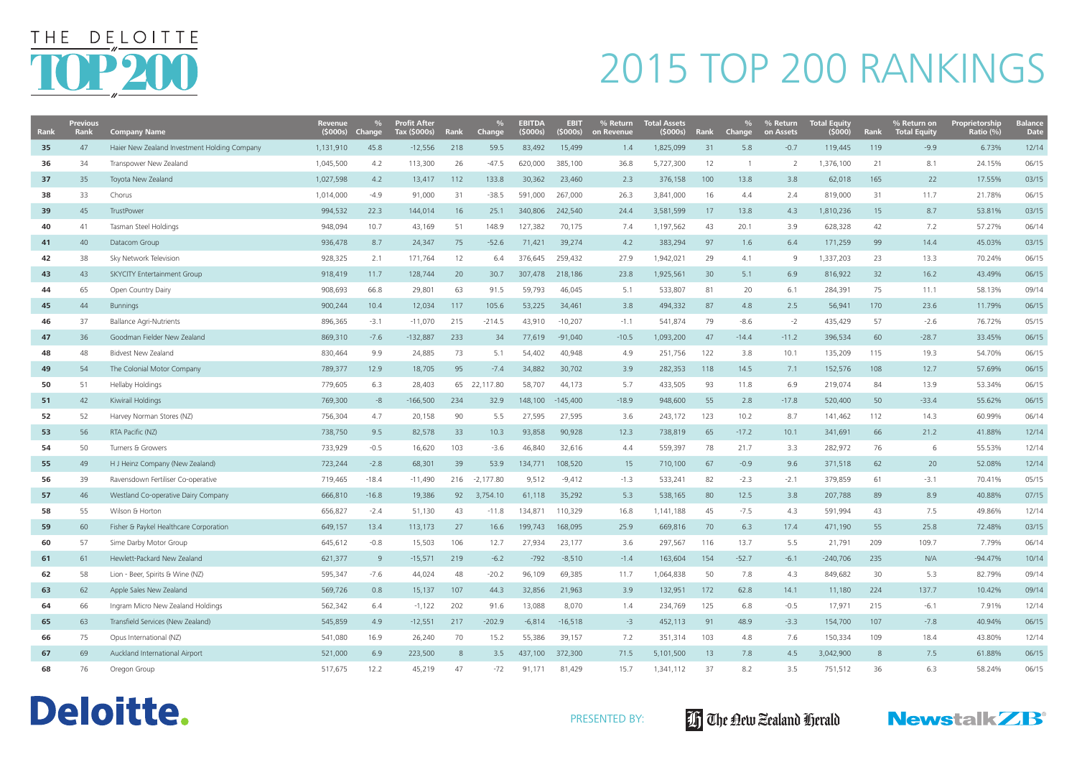| Rank | <b>Previous</b><br>Rank | <b>Company Name</b>                          | <b>Revenue</b><br>(5000s) | Change  | <b>Profit After</b><br>Tax (\$000s) | <b>Rank</b> | $\frac{0}{0}$<br><b>Change</b> | <b>EBITDA</b><br>(5000s) | <b>EBIT</b><br>(5000s) | % Return<br>on Revenue | <b>Total Assets</b><br>(5000s) | Rank            | <b>Change</b> | % Return<br>on Assets | <b>Total Equity</b><br>(5000) | Rank | % Return on<br><b>Total Equity</b> | <b>Proprietorship</b><br>Ratio (%) | <b>Balance</b><br><b>Date</b> |
|------|-------------------------|----------------------------------------------|---------------------------|---------|-------------------------------------|-------------|--------------------------------|--------------------------|------------------------|------------------------|--------------------------------|-----------------|---------------|-----------------------|-------------------------------|------|------------------------------------|------------------------------------|-------------------------------|
| 35   | 47                      | Haier New Zealand Investment Holding Company | 1,131,910                 | 45.8    | $-12,556$                           | 218         | 59.5                           | 83,492                   | 15,499                 | 1.4                    | 1,825,099                      | 31              | 5.8           | $-0.7$                | 119,445                       | 119  | $-9.9$                             | 6.73%                              | 12/14                         |
| 36   | 34                      | Transpower New Zealand                       | 1,045,500                 | 4.2     | 113,300                             | 26          | $-47.5$                        | 620,000                  | 385,100                | 36.8                   | 5,727,300                      | 12              |               | -2                    | 1,376,100                     | 21   | 8.1                                | 24.15%                             | 06/15                         |
| 37   | 35                      | Toyota New Zealand                           | 1,027,598                 | 4.2     | 13,417                              | 112         | 133.8                          | 30,362                   | 23,460                 | 2.3                    | 376,158                        | 100             | 13.8          | 3.8                   | 62,018                        | 165  | 22                                 | 17.55%                             | 03/15                         |
| 38   | 33                      | Chorus                                       | 1,014,000                 | $-4.9$  | 91,000                              | 31          | $-38.5$                        | 591,000                  | 267,000                | 26.3                   | 3,841,000                      | 16              | 4.4           | 2.4                   | 819,000                       | 31   | 11.7                               | 21.78%                             | 06/15                         |
| 39   | 45                      | TrustPower                                   | 994,532                   | 22.3    | 144,014                             | 16          | 25.1                           | 340,806                  | 242,540                | 24.4                   | 3,581,599                      | 17              | 13.8          | 4.3                   | 1,810,236                     | 15   | 8.7                                | 53.81%                             | 03/15                         |
| 40   | 41                      | Tasman Steel Holdings                        | 948,094                   | 10.7    | 43,169                              | 51          | 148.9                          | 127,382                  | 70,175                 | 7.4                    | 1,197,562                      | 43              | 20.1          | 3.9                   | 628,328                       | 42   | 7.2                                | 57.27%                             | 06/14                         |
| 41   | 40                      | Datacom Group                                | 936,478                   | 8.7     | 24,347                              | 75          | $-52.6$                        | 71,421                   | 39,274                 | 4.2                    | 383,294                        | 97              | 1.6           | 6.4                   | 171,259                       | 99   | 14.4                               | 45.03%                             | 03/15                         |
| 42   | 38                      | Sky Network Television                       | 928,325                   | 2.1     | 171,764                             | 12          | 6.4                            | 376,645                  | 259,432                | 27.9                   | 1,942,021                      | 29              | 4.1           | 9                     | 1,337,203                     | 23   | 13.3                               | 70.24%                             | 06/15                         |
| 43   | 43                      | SKYCITY Entertainment Group                  | 918,419                   | 11.7    | 128,744                             | 20          | 30.7                           | 307,478                  | 218,186                | 23.8                   | 1,925,561                      | 30 <sup>°</sup> | 5.1           | 6.9                   | 816,922                       | 32   | 16.2                               | 43.49%                             | 06/15                         |
| 44   | 65                      | Open Country Dairy                           | 908,693                   | 66.8    | 29,801                              | 63          | 91.5                           | 59,793                   | 46,045                 | 5.1                    | 533,807                        | 81              | 20            | 6.1                   | 284,391                       | 75   | 11.1                               | 58.13%                             | 09/14                         |
| 45   | 44                      | <b>Bunnings</b>                              | 900,244                   | 10.4    | 12,034                              | 117         | 105.6                          | 53,225                   | 34,461                 | 3.8                    | 494,332                        | 87              | 4.8           | 2.5                   | 56,941                        | 170  | 23.6                               | 11.79%                             | 06/15                         |
| 46   | 37                      | <b>Ballance Agri-Nutrients</b>               | 896,365                   | $-3.1$  | $-11,070$                           | 215         | $-214.5$                       | 43,910                   | $-10,207$              | $-1.1$                 | 541,874                        | 79              | $-8.6$        | $-2$                  | 435,429                       | 57   | $-2.6$                             | 76.72%                             | 05/15                         |
| 47   | 36                      | Goodman Fielder New Zealand                  | 869,310                   | $-7.6$  | $-132,887$                          | 233         | 34                             | 77,619                   | $-91,040$              | $-10.5$                | 1,093,200                      | 47              | $-14.4$       | $-11.2$               | 396,534                       | 60   | $-28.7$                            | 33.45%                             | 06/15                         |
| 48   | 48                      | <b>Bidvest New Zealand</b>                   | 830,464                   | 9.9     | 24,885                              | 73          | 5.1                            | 54,402                   | 40,948                 | 4.9                    | 251,756                        | 122             | 3.8           | 10.1                  | 135,209                       | 115  | 19.3                               | 54.70%                             | 06/15                         |
| 49   | 54                      | The Colonial Motor Company                   | 789,377                   | 12.9    | 18,705                              | 95          | $-7.4$                         | 34,882                   | 30,702                 | 3.9                    | 282,353                        | 118             | 14.5          | 7.1                   | 152,576                       | 108  | 12.7                               | 57.69%                             | 06/15                         |
| 50   | 51                      | Hellaby Holdings                             | 779,605                   | 6.3     | 28,403                              | 65          | 22,117.80                      | 58,707                   | 44,173                 | 5.7                    | 433,505                        | 93              | 11.8          | 6.9                   | 219,074                       | 84   | 13.9                               | 53.34%                             | 06/15                         |
| 51   | 42                      | Kiwirail Holdings                            | 769,300                   | -8      | $-166,500$                          | 234         | 32.9                           | 148,100                  | $-145,400$             | $-18.9$                | 948,600                        | 55              | 2.8           | $-17.8$               | 520,400                       | 50   | $-33.4$                            | 55.62%                             | 06/15                         |
| 52   | 52                      | Harvey Norman Stores (NZ)                    | 756,304                   | 4.7     | 20,158                              | 90          | 5.5                            | 27,595                   | 27,595                 | 3.6                    | 243,172                        | 123             | 10.2          | 8.7                   | 141,462                       | 112  | 14.3                               | 60.99%                             | 06/14                         |
| 53   | 56                      | RTA Pacific (NZ)                             | 738,750                   | 9.5     | 82,578                              | 33          | 10.3                           | 93,858                   | 90,928                 | 12.3                   | 738,819                        | 65              | $-17.2$       | 10.1                  | 341,691                       | 66   | 21.2                               | 41.88%                             | 12/14                         |
| 54   | 50                      | Turners & Growers                            | 733,929                   | $-0.5$  | 16,620                              | 103         | $-3.6$                         | 46,840                   | 32,616                 | 4.4                    | 559,397                        | 78              | 21.7          | 3.3                   | 282,972                       | 76   | 6                                  | 55.53%                             | 12/14                         |
| 55   | 49                      | H J Heinz Company (New Zealand)              | 723,244                   | $-2.8$  | 68,301                              | 39          | 53.9                           | 134,771                  | 108,520                | 15                     | 710,100                        | 67              | $-0.9$        | 9.6                   | 371,518                       | 62   | 20                                 | 52.08%                             | 12/14                         |
| 56   | 39                      | Ravensdown Fertiliser Co-operative           | 719,465                   | $-18.4$ | $-11,490$                           | 216         | $-2,177.80$                    | 9,512                    | $-9,412$               | $-1.3$                 | 533,241                        | 82              | $-2.3$        | $-2.1$                | 379,859                       | 61   | $-3.1$                             | 70.41%                             | 05/15                         |
| 57   | 46                      | Westland Co-operative Dairy Company          | 666,810                   | $-16.8$ | 19,386                              | 92          | 3,754.10                       | 61,118                   | 35,292                 | 5.3                    | 538,165                        | 80              | 12.5          | 3.8                   | 207,788                       | 89   | 8.9                                | 40.88%                             | 07/15                         |
| 58   | 55                      | Wilson & Horton                              | 656,827                   | $-2.4$  | 51,130                              | 43          | $-11.8$                        | 134,871                  | 110,329                | 16.8                   | 1,141,188                      | 45              | $-7.5$        | 4.3                   | 591,994                       | 43   | 7.5                                | 49.86%                             | 12/14                         |
| 59   | 60                      | Fisher & Paykel Healthcare Corporation       | 649,157                   | 13.4    | 113,173                             | 27          | 16.6                           | 199,743                  | 168,095                | 25.9                   | 669,816                        | 70              | 6.3           | 17.4                  | 471,190                       | 55   | 25.8                               | 72.48%                             | 03/15                         |
| 60   | 57                      | Sime Darby Motor Group                       | 645,612                   | $-0.8$  | 15,503                              | 106         | 12.7                           | 27,934                   | 23,177                 | 3.6                    | 297,567                        | 116             | 13.7          | 5.5                   | 21,791                        | 209  | 109.7                              | 7.79%                              | 06/14                         |
| 61   | 61                      | Hewlett-Packard New Zealand                  | 621,377                   | 9       | $-15,571$                           | 219         | $-6.2$                         | $-792$                   | $-8,510$               | $-1.4$                 | 163,604                        | 154             | $-52.7$       | $-6.1$                | $-240,706$                    | 235  | N/A                                | $-94.47%$                          | 10/14                         |
| 62   | 58                      | Lion - Beer, Spirits & Wine (NZ)             | 595,347                   | $-7.6$  | 44,024                              | 48          | $-20.2$                        | 96,109                   | 69,385                 | 11.7                   | 1,064,838                      | 50              | 7.8           | 4.3                   | 849,682                       | 30   | 5.3                                | 82.79%                             | 09/14                         |
| 63   | 62                      | Apple Sales New Zealand                      | 569,726                   | 0.8     | 15,137                              | 107         | 44.3                           | 32,856                   | 21,963                 | 3.9                    | 132,951                        | 172             | 62.8          | 14.1                  | 11,180                        | 224  | 137.7                              | 10.42%                             | 09/14                         |
| 64   | 66                      | Ingram Micro New Zealand Holdings            | 562,342                   | 6.4     | $-1,122$                            | 202         | 91.6                           | 13,088                   | 8,070                  | 1.4                    | 234,769                        | 125             | 6.8           | $-0.5$                | 17,971                        | 215  | $-6.1$                             | 7.91%                              | 12/14                         |
| 65   | 63                      | Transfield Services (New Zealand)            | 545,859                   | 4.9     | $-12,551$                           | 217         | $-202.9$                       | $-6,814$                 | $-16,518$              | $-3$                   | 452,113                        | 91              | 48.9          | $-3.3$                | 154,700                       | 107  | $-7.8$                             | 40.94%                             | 06/15                         |
| 66   | 75                      | Opus International (NZ)                      | 541,080                   | 16.9    | 26,240                              | 70          | 15.2                           | 55,386                   | 39,157                 | 7.2                    | 351,314                        | 103             | 4.8           | 7.6                   | 150,334                       | 109  | 18.4                               | 43.80%                             | 12/14                         |
| 67   | 69                      | Auckland International Airport               | 521,000                   | 6.9     | 223,500                             | 8           | 3.5                            | 437,100                  | 372,300                | 71.5                   | 5,101,500                      | 13              | 7.8           | 4.5                   | 3,042,900                     | 8    | 7.5                                | 61.88%                             | 06/15                         |
| 68   | 76                      | Oregon Group                                 | 517,675                   | 12.2    | 45,219                              | 47          | $-72$                          | 91,171                   | 81,429                 | 15.7                   | 1,341,112                      | 37              | 8.2           | 3.5                   | 751,512                       | 36   | 6.3                                | 58.24%                             | 06/15                         |









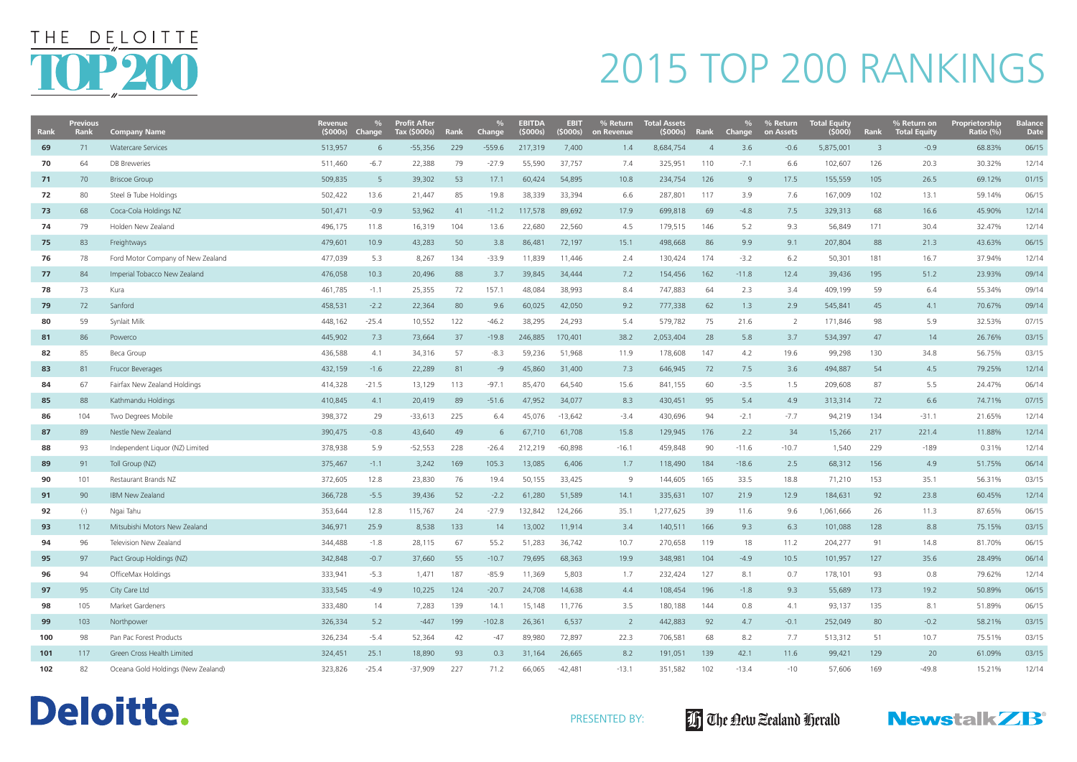| Rank | <b>Previous</b><br><b>Rank</b> | <b>Company Name</b>                | <b>Revenue</b><br>(5000s) | $\%$<br><b>Change</b> | <b>Profit After</b><br>Tax (\$000s) | <b>Rank</b> | Change   | <b>EBITDA</b><br>(5000s) | <b>EBIT</b><br>(5000s) | % Return<br>on Revenue | <b>Total Assets</b><br>(5000s) | Rank           | Change  | % Return<br>on Assets | <b>Total Equity</b><br>(5000) | Rank                    | % Return on<br><b>Total Equity</b> | <b>Proprietorship</b><br>Ratio (%) | <b>Balance</b><br><b>Date</b> |
|------|--------------------------------|------------------------------------|---------------------------|-----------------------|-------------------------------------|-------------|----------|--------------------------|------------------------|------------------------|--------------------------------|----------------|---------|-----------------------|-------------------------------|-------------------------|------------------------------------|------------------------------------|-------------------------------|
| 69   | 71                             | <b>Watercare Services</b>          | 513,957                   | -6                    | $-55,356$                           | 229         | $-559.6$ | 217,319                  | 7,400                  | 1.4                    | 8,684,754                      | $\overline{4}$ | 3.6     | $-0.6$                | 5,875,001                     | $\overline{\mathbf{3}}$ | $-0.9$                             | 68.83%                             | 06/15                         |
| 70   | 64                             | <b>DB</b> Breweries                | 511,460                   | $-6.7$                | 22,388                              | 79          | $-27.9$  | 55,590                   | 37,757                 | 7.4                    | 325,951                        | 110            | $-7.1$  | 6.6                   | 102,607                       | 126                     | 20.3                               | 30.32%                             | 12/14                         |
| 71   | 70                             | <b>Briscoe Group</b>               | 509,835                   | $5\overline{5}$       | 39,302                              | 53          | 17.1     | 60,424                   | 54,895                 | 10.8                   | 234,754                        | 126            | 9       | 17.5                  | 155,559                       | 105                     | 26.5                               | 69.12%                             | 01/15                         |
| 72   | 80                             | Steel & Tube Holdings              | 502,422                   | 13.6                  | 21,447                              | 85          | 19.8     | 38,339                   | 33,394                 | 6.6                    | 287,801                        | 117            | 3.9     | 7.6                   | 167,009                       | 102                     | 13.1                               | 59.14%                             | 06/15                         |
| 73   | 68                             | Coca-Cola Holdings NZ              | 501,471                   | $-0.9$                | 53,962                              | 41          | $-11.2$  | 117,578                  | 89,692                 | 17.9                   | 699,818                        | 69             | $-4.8$  | 7.5                   | 329,313                       | 68                      | 16.6                               | 45.90%                             | 12/14                         |
| 74   | 79                             | Holden New Zealand                 | 496,175                   | 11.8                  | 16,319                              | 104         | 13.6     | 22,680                   | 22,560                 | 4.5                    | 179,515                        | 146            | 5.2     | 9.3                   | 56,849                        | 171                     | 30.4                               | 32.47%                             | 12/14                         |
| 75   | 83                             | Freightways                        | 479,601                   | 10.9                  | 43,283                              | 50          | 3.8      | 86,481                   | 72,197                 | 15.1                   | 498,668                        | 86             | 9.9     | 9.1                   | 207,804                       | 88                      | 21.3                               | 43.63%                             | 06/15                         |
| 76   | 78                             | Ford Motor Company of New Zealand  | 477,039                   | 5.3                   | 8,267                               | 134         | $-33.9$  | 11,839                   | 11,446                 | 2.4                    | 130,424                        | 174            | $-3.2$  | 6.2                   | 50,301                        | 181                     | 16.7                               | 37.94%                             | 12/14                         |
| 77   | 84                             | Imperial Tobacco New Zealand       | 476,058                   | 10.3                  | 20,496                              | 88          | 3.7      | 39,845                   | 34,444                 | 7.2                    | 154,456                        | 162            | $-11.8$ | 12.4                  | 39,436                        | 195                     | 51.2                               | 23.93%                             | 09/14                         |
| 78   | 73                             | Kura                               | 461,785                   | $-1.1$                | 25,355                              | 72          | 157.1    | 48,084                   | 38,993                 | 8.4                    | 747,883                        | 64             | 2.3     | 3.4                   | 409,199                       | 59                      | 6.4                                | 55.34%                             | 09/14                         |
| 79   | 72                             | Sanford                            | 458,531                   | $-2.2$                | 22,364                              | 80          | 9.6      | 60,025                   | 42,050                 | 9.2                    | 777,338                        | 62             | 1.3     | 2.9                   | 545,841                       | 45                      | 4.1                                | 70.67%                             | 09/14                         |
| 80   | 59                             | Synlait Milk                       | 448,162                   | $-25.4$               | 10,552                              | 122         | $-46.2$  | 38,295                   | 24,293                 | 5.4                    | 579,782                        | 75             | 21.6    | 2                     | 171,846                       | 98                      | 5.9                                | 32.53%                             | 07/15                         |
| 81   | 86                             | Powerco                            | 445,902                   | 7.3                   | 73,664                              | 37          | $-19.8$  | 246,885                  | 170,401                | 38.2                   | 2,053,404                      | 28             | 5.8     | 3.7                   | 534,397                       | 47                      | 14                                 | 26.76%                             | 03/15                         |
| 82   | 85                             | Beca Group                         | 436,588                   | 4.1                   | 34,316                              | 57          | $-8.3$   | 59,236                   | 51,968                 | 11.9                   | 178,608                        | 147            | 4.2     | 19.6                  | 99,298                        | 130                     | 34.8                               | 56.75%                             | 03/15                         |
| 83   | 81                             | Frucor Beverages                   | 432,159                   | $-1.6$                | 22,289                              | 81          | -9       | 45,860                   | 31,400                 | 7.3                    | 646,945                        | 72             | 7.5     | 3.6                   | 494,887                       | 54                      | 4.5                                | 79.25%                             | 12/14                         |
| 84   | 67                             | Fairfax New Zealand Holdings       | 414,328                   | $-21.5$               | 13,129                              | 113         | $-97.1$  | 85,470                   | 64,540                 | 15.6                   | 841,155                        | 60             | $-3.5$  | 1.5                   | 209,608                       | 87                      | 5.5                                | 24.47%                             | 06/14                         |
| 85   | 88                             | Kathmandu Holdings                 | 410,845                   | 4.1                   | 20,419                              | 89          | $-51.6$  | 47,952                   | 34,077                 | 8.3                    | 430,451                        | 95             | 5.4     | 4.9                   | 313,314                       | 72                      | 6.6                                | 74.71%                             | 07/15                         |
| 86   | 104                            | Two Degrees Mobile                 | 398,372                   | 29                    | $-33,613$                           | 225         | 6.4      | 45,076                   | $-13,642$              | $-3.4$                 | 430,696                        | 94             | $-2.1$  | $-7.7$                | 94,219                        | 134                     | $-31.1$                            | 21.65%                             | 12/14                         |
| 87   | 89                             | Nestle New Zealand                 | 390,475                   | $-0.8$                | 43,640                              | 49          | 6        | 67,710                   | 61,708                 | 15.8                   | 129,945                        | 176            | 2.2     | 34                    | 15,266                        | 217                     | 221.4                              | 11.88%                             | 12/14                         |
| 88   | 93                             | Independent Liquor (NZ) Limited    | 378,938                   | 5.9                   | $-52,553$                           | 228         | $-26.4$  | 212,219                  | $-60,898$              | $-16.1$                | 459,848                        | 90             | $-11.6$ | $-10.7$               | 1,540                         | 229                     | $-189$                             | 0.31%                              | 12/14                         |
| 89   | 91                             | Toll Group (NZ)                    | 375,467                   | $-1.1$                | 3,242                               | 169         | 105.3    | 13,085                   | 6,406                  | 1.7                    | 118,490                        | 184            | $-18.6$ | 2.5                   | 68,312                        | 156                     | 4.9                                | 51.75%                             | 06/14                         |
| 90   | 101                            | Restaurant Brands NZ               | 372,605                   | 12.8                  | 23,830                              | 76          | 19.4     | 50,155                   | 33,425                 | 9                      | 144,605                        | 165            | 33.5    | 18.8                  | 71,210                        | 153                     | 35.1                               | 56.31%                             | 03/15                         |
| 91   | 90                             | <b>IBM New Zealand</b>             | 366,728                   | $-5.5$                | 39,436                              | 52          | $-2.2$   | 61,280                   | 51,589                 | 14.1                   | 335,631                        | 107            | 21.9    | 12.9                  | 184,631                       | 92                      | 23.8                               | 60.45%                             | 12/14                         |
| 92   | $(-)$                          | Ngai Tahu                          | 353,644                   | 12.8                  | 115,767                             | 24          | -27.9    | 132,842                  | 124,266                | 35.1                   | 1,277,625                      | 39             | 11.6    | 9.6                   | 1,061,666                     | 26                      | 11.3                               | 87.65%                             | 06/15                         |
| 93   | 112                            | Mitsubishi Motors New Zealand      | 346,971                   | 25.9                  | 8,538                               | 133         | 14       | 13,002                   | 11,914                 | 3.4                    | 140,511                        | 166            | 9.3     | 6.3                   | 101,088                       | 128                     | 8.8                                | 75.15%                             | 03/15                         |
| 94   | 96                             | Television New Zealand             | 344,488                   | $-1.8$                | 28,115                              | 67          | 55.2     | 51,283                   | 36,742                 | 10.7                   | 270,658                        | 119            | 18      | 11.2                  | 204,277                       | 91                      | 14.8                               | 81.70%                             | 06/15                         |
| 95   | 97                             | Pact Group Holdings (NZ)           | 342,848                   | $-0.7$                | 37,660                              | 55          | $-10.7$  | 79,695                   | 68,363                 | 19.9                   | 348,981                        | 104            | $-4.9$  | 10.5                  | 101,957                       | 127                     | 35.6                               | 28.49%                             | 06/14                         |
| 96   | 94                             | OfficeMax Holdings                 | 333,941                   | $-5.3$                | 1,471                               | 187         | $-85.9$  | 11,369                   | 5,803                  | 1.7                    | 232,424                        | 127            | 8.1     | 0.7                   | 178,101                       | 93                      | 0.8                                | 79.62%                             | 12/14                         |
| 97   | 95                             | City Care Ltd                      | 333,545                   | $-4.9$                | 10,225                              | 124         | $-20.7$  | 24,708                   | 14,638                 | 4.4                    | 108,454                        | 196            | $-1.8$  | 9.3                   | 55,689                        | 173                     | 19.2                               | 50.89%                             | 06/15                         |
| 98   | 105                            | Market Gardeners                   | 333,480                   | 14                    | 7,283                               | 139         | 14.1     | 15,148                   | 11,776                 | 3.5                    | 180,188                        | 144            | 0.8     | 4.1                   | 93,137                        | 135                     | 8.1                                | 51.89%                             | 06/15                         |
| 99   | 103                            | Northpower                         | 326,334                   | 5.2                   | $-447$                              | 199         | $-102.8$ | 26,361                   | 6,537                  | $\overline{2}$         | 442,883                        | 92             | 4.7     | $-0.1$                | 252,049                       | 80                      | $-0.2$                             | 58.21%                             | 03/15                         |
| 100  | 98                             | Pan Pac Forest Products            | 326,234                   | $-5.4$                | 52,364                              | 42          | $-47$    | 89,980                   | 72,897                 | 22.3                   | 706,581                        | 68             | 8.2     | 7.7                   | 513,312                       | 51                      | 10.7                               | 75.51%                             | 03/15                         |
| 101  | 117                            | Green Cross Health Limited         | 324,451                   | 25.1                  | 18,890                              | 93          | 0.3      | 31,164                   | 26,665                 | 8.2                    | 191,051                        | 139            | 42.1    | 11.6                  | 99,421                        | 129                     | 20                                 | 61.09%                             | 03/15                         |
| 102  | 82                             | Oceana Gold Holdings (New Zealand) | 323,826                   | $-25.4$               | $-37,909$                           | 227         | 71.2     | 66,065                   | $-42,481$              | $-13.1$                | 351,582                        | 102            | $-13.4$ | $-10$                 | 57,606                        | 169                     | $-49.8$                            | 15.21%                             | 12/14                         |

#### Deloitte.







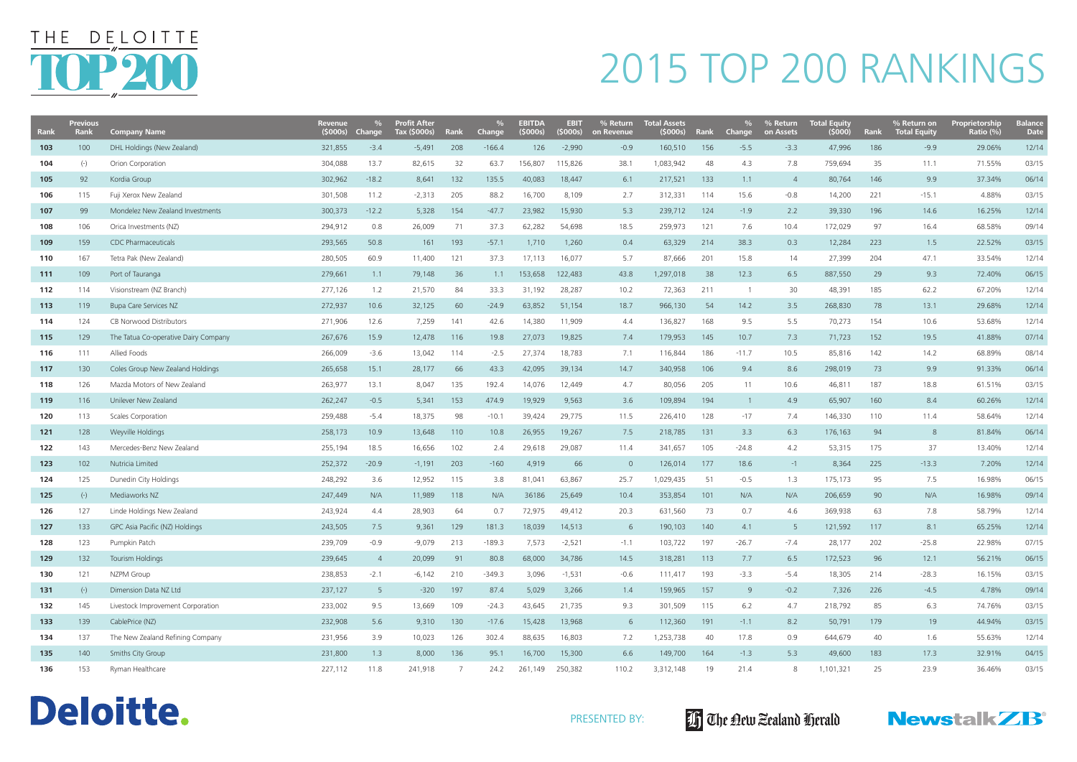| <b>Rank</b> | <b>Previous</b><br><b>Rank</b> | <b>Company Name</b>                  | Revenue<br>(5000s) | Change          | <b>Profit After</b><br>Tax (\$000s) | <b>Rank</b> | $\%$<br>Change, | <b>EBITDA</b><br>(5000s) | <b>EBIT</b><br>(5000s) | % Return<br>on Revenue | <b>Total Assets</b><br>(5000s) | Rank | Change         | % Return<br>on Assets | <b>Total Equity</b><br>(5000) | Rank | % Return on<br><b>Total Equity</b> | <b>Proprietorship</b><br>Ratio (%) | <b>Balance</b><br><b>Date</b> |
|-------------|--------------------------------|--------------------------------------|--------------------|-----------------|-------------------------------------|-------------|-----------------|--------------------------|------------------------|------------------------|--------------------------------|------|----------------|-----------------------|-------------------------------|------|------------------------------------|------------------------------------|-------------------------------|
| 103         | 100                            | DHL Holdings (New Zealand)           | 321,855            | $-3.4$          | $-5,491$                            | 208         | $-166.4$        | 126                      | $-2,990$               | $-0.9$                 | 160,510                        | 156  | $-5.5$         | $-3.3$                | 47,996                        | 186  | $-9.9$                             | 29.06%                             | 12/14                         |
| 104         | $(-)$                          | <b>Orion Corporation</b>             | 304,088            | 13.7            | 82,615                              | 32          | 63.7            | 156,807                  | 115,826                | 38.1                   | 1,083,942                      | 48   | 4.3            | 7.8                   | 759,694                       | 35   | 11.1                               | 71.55%                             | 03/15                         |
| 105         | 92                             | Kordia Group                         | 302,962            | $-18.2$         | 8,641                               | 132         | 135.5           | 40,083                   | 18,447                 | 6.1                    | 217,521                        | 133  | 1.1            | $\overline{4}$        | 80,764                        | 146  | 9.9                                | 37.34%                             | 06/14                         |
| 106         | 115                            | Fuji Xerox New Zealand               | 301,508            | 11.2            | $-2,313$                            | 205         | 88.2            | 16,700                   | 8,109                  | 2.7                    | 312,331                        | 114  | 15.6           | $-0.8$                | 14,200                        | 221  | $-15.1$                            | 4.88%                              | 03/15                         |
| 107         | 99                             | Mondelez New Zealand Investments     | 300,373            | $-12.2$         | 5,328                               | 154         | $-47.7$         | 23,982                   | 15,930                 | 5.3                    | 239,712                        | 124  | $-1.9$         | 2.2                   | 39,330                        | 196  | 14.6                               | 16.25%                             | 12/14                         |
| 108         | 106                            | Orica Investments (NZ)               | 294,912            | 0.8             | 26,009                              | 71          | 37.3            | 62,282                   | 54,698                 | 18.5                   | 259,973                        | 121  | 7.6            | 10.4                  | 172,029                       | 97   | 16.4                               | 68.58%                             | 09/14                         |
| 109         | 159                            | <b>CDC Pharmaceuticals</b>           | 293,565            | 50.8            | 161                                 | 193         | $-57.1$         | 1,710                    | 1,260                  | 0.4                    | 63,329                         | 214  | 38.3           | 0.3                   | 12,284                        | 223  | 1.5                                | 22.52%                             | 03/15                         |
| 110         | 167                            | Tetra Pak (New Zealand)              | 280,505            | 60.9            | 11,400                              | 121         | 37.3            | 17,113                   | 16,077                 | 5.7                    | 87,666                         | 201  | 15.8           | 14                    | 27,399                        | 204  | 47.1                               | 33.54%                             | 12/14                         |
| 111         | 109                            | Port of Tauranga                     | 279,661            | 1.1             | 79,148                              | 36          | 1.1             | 153,658                  | 122,483                | 43.8                   | 1,297,018                      | 38   | 12.3           | 6.5                   | 887,550                       | 29   | 9.3                                | 72.40%                             | 06/15                         |
| 112         | 114                            | Visionstream (NZ Branch)             | 277,126            | 1.2             | 21,570                              | 84          | 33.3            | 31,192                   | 28,287                 | 10.2                   | 72,363                         | 211  |                | 30                    | 48,391                        | 185  | 62.2                               | 67.20%                             | 12/14                         |
| 113         | 119                            | <b>Bupa Care Services NZ</b>         | 272,937            | 10.6            | 32,125                              | 60          | $-24.9$         | 63,852                   | 51,154                 | 18.7                   | 966,130                        | 54   | 14.2           | 3.5                   | 268,830                       | 78   | 13.1                               | 29.68%                             | 12/14                         |
| 114         | 124                            | CB Norwood Distributors              | 271,906            | 12.6            | 7,259                               | 141         | 42.6            | 14,380                   | 11,909                 | 4.4                    | 136,827                        | 168  | 9.5            | 5.5                   | 70,273                        | 154  | 10.6                               | 53.68%                             | 12/14                         |
| 115         | 129                            | The Tatua Co-operative Dairy Company | 267,676            | 15.9            | 12,478                              | 116         | 19.8            | 27,073                   | 19,825                 | 7.4                    | 179,953                        | 145  | 10.7           | 7.3                   | 71,723                        | 152  | 19.5                               | 41.88%                             | 07/14                         |
| 116         | 111                            | Allied Foods                         | 266,009            | $-3.6$          | 13,042                              | 114         | $-2.5$          | 27,374                   | 18,783                 | 7.1                    | 116,844                        | 186  | $-11.7$        | 10.5                  | 85,816                        | 142  | 14.2                               | 68.89%                             | 08/14                         |
| 117         | 130                            | Coles Group New Zealand Holdings     | 265,658            | 15.1            | 28,177                              | 66          | 43.3            | 42,095                   | 39,134                 | 14.7                   | 340,958                        | 106  | 9.4            | 8.6                   | 298,019                       | 73   | 9.9                                | 91.33%                             | 06/14                         |
| 118         | 126                            | Mazda Motors of New Zealand          | 263,977            | 13.1            | 8,047                               | 135         | 192.4           | 14,076                   | 12,449                 | 4.7                    | 80,056                         | 205  | 11             | 10.6                  | 46,811                        | 187  | 18.8                               | 61.51%                             | 03/15                         |
| 119         | 116                            | Unilever New Zealand                 | 262,247            | $-0.5$          | 5,341                               | 153         | 474.9           | 19,929                   | 9,563                  | 3.6                    | 109,894                        | 194  | $\overline{1}$ | 4.9                   | 65,907                        | 160  | 8.4                                | 60.26%                             | 12/14                         |
| 120         | 113                            | <b>Scales Corporation</b>            | 259,488            | $-5.4$          | 18,375                              | 98          | $-10.1$         | 39,424                   | 29,775                 | 11.5                   | 226,410                        | 128  | $-17$          | 7.4                   | 146,330                       | 110  | 11.4                               | 58.64%                             | 12/14                         |
| 121         | 128                            | Weyville Holdings                    | 258,173            | 10.9            | 13,648                              | 110         | 10.8            | 26,955                   | 19,267                 | 7.5                    | 218,785                        | 131  | 3.3            | 6.3                   | 176,163                       | 94   | 8                                  | 81.84%                             | 06/14                         |
| 122         | 143                            | Mercedes-Benz New Zealand            | 255,194            | 18.5            | 16,656                              | 102         | 2.4             | 29,618                   | 29,087                 | 11.4                   | 341,657                        | 105  | $-24.8$        | 4.2                   | 53,315                        | 175  | 37                                 | 13.40%                             | 12/14                         |
| 123         | 102                            | Nutricia Limited                     | 252,372            | $-20.9$         | $-1,191$                            | 203         | $-160$          | 4,919                    | 66                     | $\overline{0}$         | 126,014                        | 177  | 18.6           | $-1$                  | 8,364                         | 225  | $-13.3$                            | 7.20%                              | 12/14                         |
| 124         | 125                            | Dunedin City Holdings                | 248,292            | 3.6             | 12,952                              | 115         | 3.8             | 81,041                   | 63,867                 | 25.7                   | 1,029,435                      | 51   | $-0.5$         | 1.3                   | 175,173                       | 95   | 7.5                                | 16.98%                             | 06/15                         |
| 125         | $(-)$                          | Mediaworks NZ                        | 247,449            | N/A             | 11,989                              | 118         | N/A             | 36186                    | 25,649                 | 10.4                   | 353,854                        | 101  | N/A            | N/A                   | 206,659                       | 90   | N/A                                | 16.98%                             | 09/14                         |
| 126         | 127                            | Linde Holdings New Zealand           | 243,924            | 4.4             | 28,903                              | 64          | 0.7             | 72,975                   | 49,412                 | 20.3                   | 631,560                        | 73   | 0.7            | 4.6                   | 369,938                       | 63   | 7.8                                | 58.79%                             | 12/14                         |
| 127         | 133                            | GPC Asia Pacific (NZ) Holdings       | 243,505            | 7.5             | 9,361                               | 129         | 181.3           | 18,039                   | 14,513                 | 6                      | 190,103                        | 140  | 4.1            | 5                     | 121,592                       | 117  | 8.1                                | 65.25%                             | 12/14                         |
| 128         | 123                            | Pumpkin Patch                        | 239,709            | $-0.9$          | $-9,079$                            | 213         | $-189.3$        | 7,573                    | $-2,521$               | $-1.1$                 | 103,722                        | 197  | $-26.7$        | $-7.4$                | 28,177                        | 202  | $-25.8$                            | 22.98%                             | 07/15                         |
| 129         | 132                            | Tourism Holdings                     | 239,645            | $\overline{4}$  | 20,099                              | 91          | 80.8            | 68,000                   | 34,786                 | 14.5                   | 318,281                        | 113  | 7.7            | 6.5                   | 172,523                       | 96   | 12.1                               | 56.21%                             | 06/15                         |
| 130         | 121                            | NZPM Group                           | 238,853            | $-2.1$          | $-6,142$                            | 210         | $-349.3$        | 3,096                    | $-1,531$               | $-0.6$                 | 111,417                        | 193  | $-3.3$         | $-5.4$                | 18,305                        | 214  | $-28.3$                            | 16.15%                             | 03/15                         |
| 131         | $(-)$                          | Dimension Data NZ Ltd                | 237,127            | $5\overline{)}$ | $-320$                              | 197         | 87.4            | 5,029                    | 3,266                  | 1.4                    | 159,965                        | 157  | 9              | $-0.2$                | 7,326                         | 226  | $-4.5$                             | 4.78%                              | 09/14                         |
| 132         | 145                            | Livestock Improvement Corporation    | 233,002            | 9.5             | 13,669                              | 109         | $-24.3$         | 43,645                   | 21,735                 | 9.3                    | 301,509                        | 115  | 6.2            | 4.7                   | 218,792                       | 85   | 6.3                                | 74.76%                             | 03/15                         |
| 133         | 139                            | CablePrice (NZ)                      | 232,908            | 5.6             | 9,310                               | 130         | $-17.6$         | 15,428                   | 13,968                 | 6                      | 112,360                        | 191  | $-1.1$         | 8.2                   | 50,791                        | 179  | 19                                 | 44.94%                             | 03/15                         |
| 134         | 137                            | The New Zealand Refining Company     | 231,956            | 3.9             | 10,023                              | 126         | 302.4           | 88,635                   | 16,803                 | 7.2                    | 1,253,738                      | 40   | 17.8           | 0.9                   | 644,679                       | 40   | 1.6                                | 55.63%                             | 12/14                         |
| 135         | 140                            | Smiths City Group                    | 231,800            | 1.3             | 8,000                               | 136         | 95.1            | 16,700                   | 15,300                 | 6.6                    | 149,700                        | 164  | $-1.3$         | 5.3                   | 49,600                        | 183  | 17.3                               | 32.91%                             | 04/15                         |
| 136         | 153                            | Ryman Healthcare                     | 227,112            | 11.8            | 241,918                             |             | 24.2            | 261,149 250,382          |                        | 110.2                  | 3,312,148                      | 19   | 21.4           | 8                     | 1,101,321                     | 25   | 23.9                               | 36.46%                             | 03/15                         |









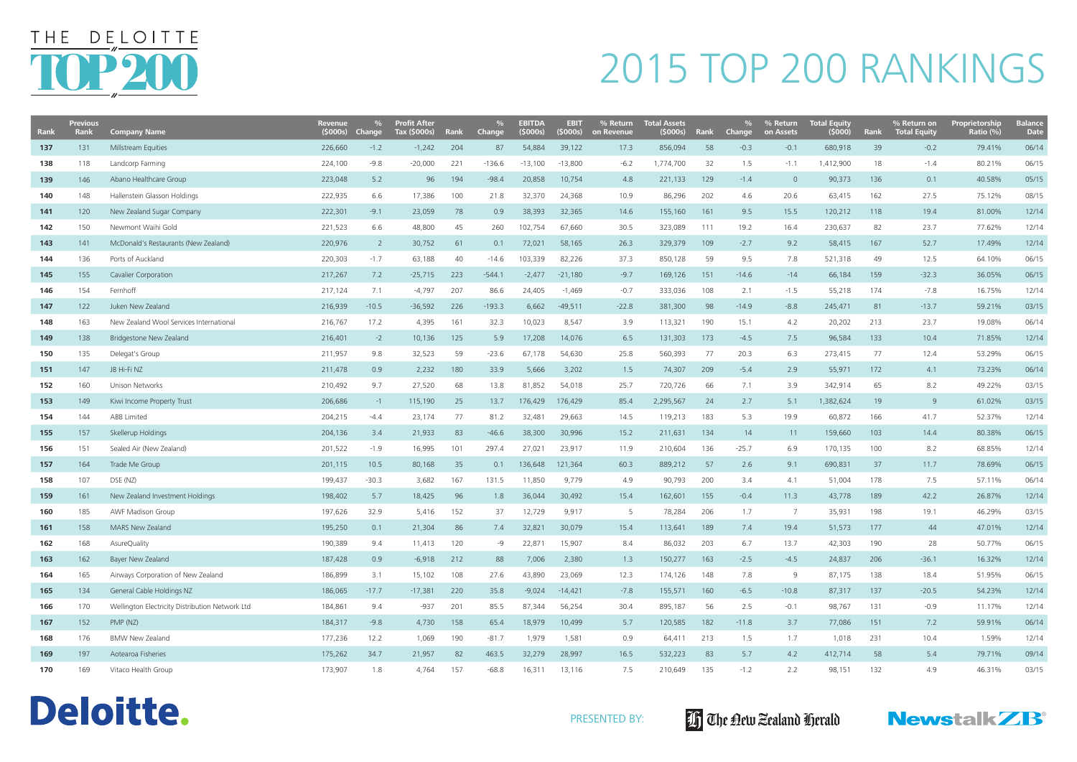| <b>Rank</b> | <b>Previous</b><br><b>Rank</b> | <b>Company Name</b>                             | <b>Revenue</b><br>(5000s) | <b>Change</b>  | <b>Profit After</b><br>Tax (\$000s) | Rank | $\%$<br><b>Change</b> | <b>EBITDA</b><br>(5000s) | <b>EBIT</b><br>(\$000s) | % Return<br>on Revenue | <b>Total Assets</b><br>(5000s) | Rank | <b>Change</b> | % Return<br>on Assets | <b>Total Equity</b><br>(5000) | Rank | $\%$ Return on<br><b>Total Equity</b> | <b>Proprietorship</b><br>Ratio (%) | <b>Balance</b><br><b>Date</b> |
|-------------|--------------------------------|-------------------------------------------------|---------------------------|----------------|-------------------------------------|------|-----------------------|--------------------------|-------------------------|------------------------|--------------------------------|------|---------------|-----------------------|-------------------------------|------|---------------------------------------|------------------------------------|-------------------------------|
| 137         | 131                            | Millstream Equities                             | 226,660                   | $-1.2$         | $-1,242$                            | 204  | 87                    | 54,884                   | 39,122                  | 17.3                   | 856,094                        | 58   | $-0.3$        | $-0.1$                | 680,918                       | 39   | $-0.2$                                | 79.41%                             | 06/14                         |
| 138         | 118                            | Landcorp Farming                                | 224,100                   | $-9.8$         | $-20,000$                           | 221  | $-136.6$              | $-13,100$                | $-13,800$               | $-6.2$                 | 1,774,700                      | 32   | 1.5           | $-1.1$                | 1,412,900                     | 18   | $-1.4$                                | 80.21%                             | 06/15                         |
| 139         | 146                            | Abano Healthcare Group                          | 223,048                   | 5.2            | 96                                  | 194  | $-98.4$               | 20,858                   | 10,754                  | 4.8                    | 221,133                        | 129  | $-1.4$        | $\overline{0}$        | 90,373                        | 136  | 0.1                                   | 40.58%                             | 05/15                         |
| 140         | 148                            | Hallenstein Glasson Holdings                    | 222,935                   | 6.6            | 17,386                              | 100  | 21.8                  | 32,370                   | 24,368                  | 10.9                   | 86,296                         | 202  | 4.6           | 20.6                  | 63,415                        | 162  | 27.5                                  | 75.12%                             | 08/15                         |
| 141         | 120                            | New Zealand Sugar Company                       | 222,301                   | $-9.1$         | 23,059                              | 78   | 0.9                   | 38,393                   | 32,365                  | 14.6                   | 155,160                        | 161  | 9.5           | 15.5                  | 120,212                       | 118  | 19.4                                  | 81.00%                             | 12/14                         |
| 142         | 150                            | Newmont Waihi Gold                              | 221,523                   | 6.6            | 48,800                              | 45   | 260                   | 102,754                  | 67,660                  | 30.5                   | 323,089                        | 111  | 19.2          | 16.4                  | 230,637                       | 82   | 23.7                                  | 77.62%                             | 12/14                         |
| 143         | 141                            | McDonald's Restaurants (New Zealand)            | 220,976                   | $\overline{2}$ | 30,752                              | 61   | 0.1                   | 72,021                   | 58,165                  | 26.3                   | 329,379                        | 109  | $-2.7$        | 9.2                   | 58,415                        | 167  | 52.7                                  | 17.49%                             | 12/14                         |
| 144         | 136                            | Ports of Auckland                               | 220,303                   | $-1.7$         | 63,188                              | 40   | $-14.6$               | 103,339                  | 82,226                  | 37.3                   | 850,128                        | 59   | 9.5           | 7.8                   | 521,318                       | 49   | 12.5                                  | 64.10%                             | 06/15                         |
| 145         | 155                            | Cavalier Corporation                            | 217,267                   | 7.2            | $-25,715$                           | 223  | $-544.1$              | $-2,477$                 | $-21,180$               | $-9.7$                 | 169,126                        | 151  | $-14.6$       | $-14$                 | 66,184                        | 159  | $-32.3$                               | 36.05%                             | 06/15                         |
| 146         | 154                            | Fernhoff                                        | 217,124                   | 7.1            | $-4,797$                            | 207  | 86.6                  | 24,405                   | $-1,469$                | $-0.7$                 | 333,036                        | 108  | 2.1           | $-1.5$                | 55,218                        | 174  | $-7.8$                                | 16.75%                             | 12/14                         |
| 147         | 122                            | Juken New Zealand                               | 216,939                   | $-10.5$        | $-36,592$                           | 226  | $-193.3$              | 6,662                    | $-49,511$               | $-22.8$                | 381,300                        | 98   | $-14.9$       | $-8.8$                | 245,471                       | 81   | $-13.7$                               | 59.21%                             | 03/15                         |
| 148         | 163                            | New Zealand Wool Services International         | 216,767                   | 17.2           | 4,395                               | 161  | 32.3                  | 10,023                   | 8,547                   | 3.9                    | 113,321                        | 190  | 15.1          | 4.2                   | 20,202                        | 213  | 23.7                                  | 19.08%                             | 06/14                         |
| 149         | 138                            | <b>Bridgestone New Zealand</b>                  | 216,401                   | $-2$           | 10,136                              | 125  | 5.9                   | 17,208                   | 14,076                  | 6.5                    | 131,303                        | 173  | $-4.5$        | 7.5                   | 96,584                        | 133  | 10.4                                  | 71.85%                             | 12/14                         |
| 150         | 135                            | Delegat's Group                                 | 211,957                   | 9.8            | 32,523                              | 59   | $-23.6$               | 67,178                   | 54,630                  | 25.8                   | 560,393                        | 77   | 20.3          | 6.3                   | 273,415                       | 77   | 12.4                                  | 53.29%                             | 06/15                         |
| 151         | 147                            | JB Hi-Fi NZ                                     | 211,478                   | 0.9            | 2,232                               | 180  | 33.9                  | 5,666                    | 3,202                   | 1.5                    | 74,307                         | 209  | $-5.4$        | 2.9                   | 55,971                        | 172  | 4.1                                   | 73.23%                             | 06/14                         |
| 152         | 160                            | Unison Networks                                 | 210,492                   | 9.7            | 27,520                              | 68   | 13.8                  | 81,852                   | 54,018                  | 25.7                   | 720,726                        | 66   | 7.1           | 3.9                   | 342,914                       | 65   | 8.2                                   | 49.22%                             | 03/15                         |
| 153         | 149                            | Kiwi Income Property Trust                      | 206,686                   | $-1$           | 115,190                             | 25   | 13.7                  | 176,429                  | 176,429                 | 85.4                   | 2,295,567                      | 24   | 2.7           | 5.1                   | 1,382,624                     | 19   | 9                                     | 61.02%                             | 03/15                         |
| 154         | 144                            | <b>ABB Limited</b>                              | 204,215                   | $-4.4$         | 23,174                              | 77   | 81.2                  | 32,481                   | 29,663                  | 14.5                   | 119,213                        | 183  | 5.3           | 19.9                  | 60,872                        | 166  | 41.7                                  | 52.37%                             | 12/14                         |
| 155         | 157                            | Skellerup Holdings                              | 204,136                   | 3.4            | 21,933                              | 83   | $-46.6$               | 38,300                   | 30,996                  | 15.2                   | 211,631                        | 134  | 14            | 11                    | 159,660                       | 103  | 14.4                                  | 80.38%                             | 06/15                         |
| 156         | 151                            | Sealed Air (New Zealand)                        | 201,522                   | $-1.9$         | 16,995                              | 101  | 297.4                 | 27,021                   | 23,917                  | 11.9                   | 210,604                        | 136  | $-25.7$       | 6.9                   | 170,135                       | 100  | 8.2                                   | 68.85%                             | 12/14                         |
| 157         | 164                            | Trade Me Group                                  | 201,115                   | 10.5           | 80,168                              | 35   | 0.1                   | 136,648                  | 121,364                 | 60.3                   | 889,212                        | 57   | 2.6           | 9.1                   | 690,831                       | 37   | 11.7                                  | 78.69%                             | 06/15                         |
| 158         | 107                            | DSE (NZ)                                        | 199,437                   | $-30.3$        | 3,682                               | 167  | 131.5                 | 11,850                   | 9,779                   | 4.9                    | 90,793                         | 200  | 3.4           | 4.1                   | 51,004                        | 178  | 7.5                                   | 57.11%                             | 06/14                         |
| 159         | 161                            | New Zealand Investment Holdings                 | 198,402                   | 5.7            | 18,425                              | 96   | 1.8                   | 36,044                   | 30,492                  | 15.4                   | 162,601                        | 155  | $-0.4$        | 11.3                  | 43,778                        | 189  | 42.2                                  | 26.87%                             | 12/14                         |
| 160         | 185                            | <b>AWF Madison Group</b>                        | 197,626                   | 32.9           | 5,416                               | 152  | 37                    | 12,729                   | 9,917                   | 5                      | 78,284                         | 206  | 1.7           | 7                     | 35,931                        | 198  | 19.1                                  | 46.29%                             | 03/15                         |
| 161         | 158                            | MARS New Zealand                                | 195,250                   | 0.1            | 21,304                              | 86   | 7.4                   | 32,821                   | 30,079                  | 15.4                   | 113,641                        | 189  | 7.4           | 19.4                  | 51,573                        | 177  | 44                                    | 47.01%                             | 12/14                         |
| 162         | 168                            | AsureQuality                                    | 190,389                   | 9.4            | 11,413                              | 120  | -9                    | 22,871                   | 15,907                  | 8.4                    | 86,032                         | 203  | 6.7           | 13.7                  | 42,303                        | 190  | 28                                    | 50.77%                             | 06/15                         |
| 163         | 162                            | Bayer New Zealand                               | 187,428                   | 0.9            | $-6,918$                            | 212  | 88                    | 7,006                    | 2,380                   | 1.3                    | 150,277                        | 163  | $-2.5$        | $-4.5$                | 24,837                        | 206  | $-36.1$                               | 16.32%                             | 12/14                         |
| 164         | 165                            | Airways Corporation of New Zealand              | 186,899                   | 3.1            | 15,102                              | 108  | 27.6                  | 43,890                   | 23,069                  | 12.3                   | 174,126                        | 148  | 7.8           | 9                     | 87,175                        | 138  | 18.4                                  | 51.95%                             | 06/15                         |
| 165         | 134                            | General Cable Holdings NZ                       | 186,065                   | $-17.7$        | $-17,381$                           | 220  | 35.8                  | $-9,024$                 | $-14,421$               | $-7.8$                 | 155,571                        | 160  | $-6.5$        | $-10.8$               | 87,317                        | 137  | $-20.5$                               | 54.23%                             | 12/14                         |
| 166         | 170                            | Wellington Electricity Distribution Network Ltd | 184,861                   | 9.4            | -937                                | 201  | 85.5                  | 87,344                   | 56,254                  | 30.4                   | 895,187                        | 56   | 2.5           | $-0.1$                | 98,767                        | 131  | $-0.9$                                | 11.17%                             | 12/14                         |
| 167         | 152                            | PMP (NZ)                                        | 184,317                   | $-9.8$         | 4,730                               | 158  | 65.4                  | 18,979                   | 10,499                  | 5.7                    | 120,585                        | 182  | $-11.8$       | 3.7                   | 77,086                        | 151  | 7.2                                   | 59.91%                             | 06/14                         |
| 168         | 176                            | <b>BMW New Zealand</b>                          | 177,236                   | 12.2           | 1,069                               | 190  | $-81.7$               | 1,979                    | 1,581                   | 0.9                    | 64,411                         | 213  | 1.5           | 1.7                   | 1,018                         | 231  | 10.4                                  | 1.59%                              | 12/14                         |
| 169         | 197                            | Aotearoa Fisheries                              | 175,262                   | 34.7           | 21,957                              | 82   | 463.5                 | 32,279                   | 28,997                  | 16.5                   | 532,223                        | 83   | 5.7           | 4.2                   | 412,714                       | 58   | 5.4                                   | 79.71%                             | 09/14                         |
| 170         | 169                            | Vitaco Health Group                             | 173,907                   | 1.8            | 4,764                               | 157  | $-68.8$               | 16,311                   | 13,116                  | 7.5                    | 210,649                        | 135  | $-1.2$        | 2.2                   | 98,151                        | 132  | 4.9                                   | 46.31%                             | 03/15                         |









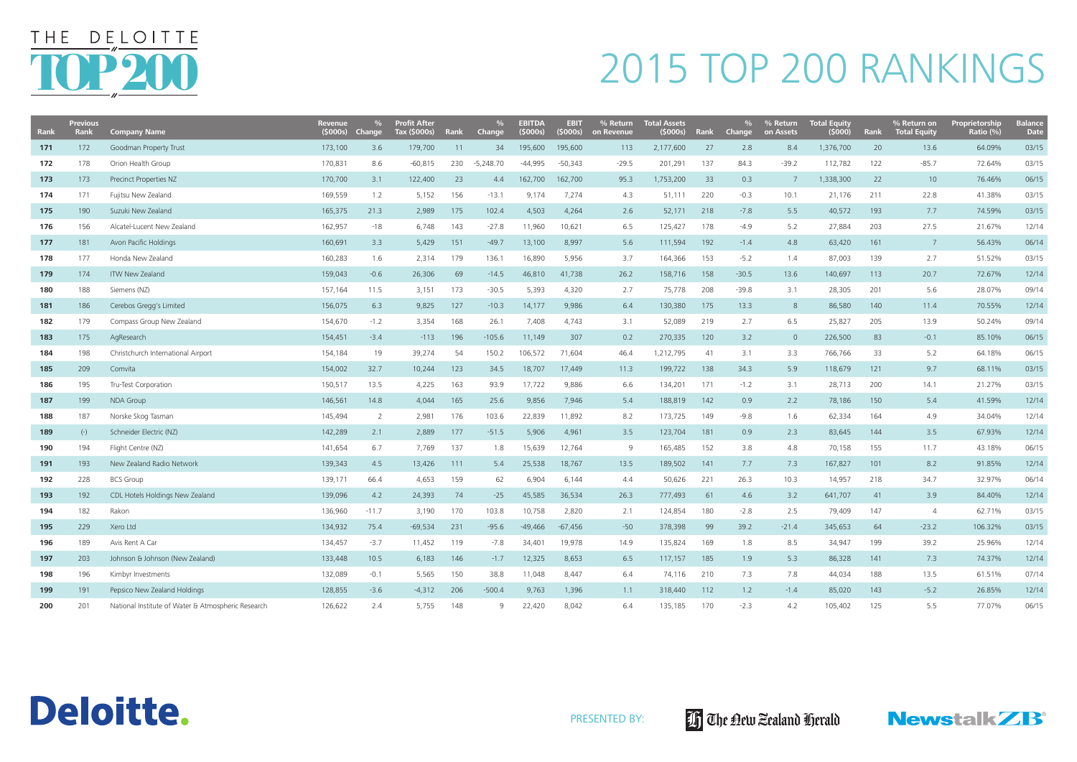| Rank | <b>Previous</b><br><b>Rank</b> | <b>Company Name</b>                                | Revenue<br>(5000s) | Change  | <b>Profit After</b><br>Tax (\$000s) | Rank | <b>Change</b> | EBITDA<br>(S000s) | <b>EBIT</b><br>(5000s) | % Return<br>on Revenue | <b>Total Assets</b><br>(\$000s) | Rank | <b>Change</b> | % Return<br>on Assets | <b>Total Equity</b><br>(\$000) | Rank | $\%$ Return on<br><b>Total Equity</b> | Proprietorship<br>Ratio $(\% )$ | <b>Balance</b><br><b>Date</b> |
|------|--------------------------------|----------------------------------------------------|--------------------|---------|-------------------------------------|------|---------------|-------------------|------------------------|------------------------|---------------------------------|------|---------------|-----------------------|--------------------------------|------|---------------------------------------|---------------------------------|-------------------------------|
| 171  | 172                            | Goodman Property Trust                             | 173,100            | 3.6     | 179,700                             | 11   | 34            | 195,600           | 195,600                | 113                    | 2,177,600                       | 27   | 2.8           | 8.4                   | 1,376,700                      | 20   | 13.6                                  | 64.09%                          | 03/15                         |
| 172  | 178                            | Orion Health Group                                 | 170,831            | 8.6     | $-60,815$                           | 230  | $-5,248.70$   | $-44,995$         | $-50,343$              | $-29.5$                | 201,291                         | 137  | 84.3          | $-39.2$               | 112,782                        | 122  | $-85.7$                               | 72.64%                          | 03/15                         |
| 173  | 173                            | Precinct Properties NZ                             | 170,700            | 3.1     | 122,400                             | 23   | 4.4           | 162,700           | 162,700                | 95.3                   | 1,753,200                       | 33   | 0.3           | 7                     | 1,338,300                      | 22   | 10 <sup>°</sup>                       | 76.46%                          | 06/15                         |
| 174  | 171                            | Fujitsu New Zealand                                | 169,559            | 1.2     | 5,152                               | 156  | $-13.1$       | 9,174             | 7,274                  | 4.3                    | 51,111                          | 220  | $-0.3$        | 10.1                  | 21,176                         | 211  | 22.8                                  | 41.38%                          | 03/15                         |
| 175  | 190                            | Suzuki New Zealand                                 | 165,375            | 21.3    | 2,989                               | 175  | 102.4         | 4,503             | 4,264                  | 2.6                    | 52,171                          | 218  | $-7.8$        | 5.5                   | 40,572                         | 193  | 7.7                                   | 74.59%                          | 03/15                         |
| 176  | 156                            | Alcatel-Lucent New Zealand                         | 162,957            | -18     | 6,748                               | 143  | $-27.8$       | 11,960            | 10,621                 | 6.5                    | 125,427                         | 178  | $-4.9$        | 5.2                   | 27,884                         | 203  | 27.5                                  | 21.67%                          | 12/14                         |
| 177  | 181                            | Avon Pacific Holdings                              | 160,691            | 3.3     | 5,429                               | 151  | $-49.7$       | 13,100            | 8,997                  | 5.6                    | 111,594                         | 192  | $-1.4$        | 4.8                   | 63,420                         | 161  | 7                                     | 56.43%                          | 06/14                         |
| 178  | 177                            | Honda New Zealand                                  | 160,283            | 1.6     | 2,314                               | 179  | 136.1         | 16,890            | 5,956                  | 3.7                    | 164,366                         | 153  | $-5.2$        | 1.4                   | 87,003                         | 139  | 2.7                                   | 51.52%                          | 03/15                         |
| 179  | 174                            | <b>ITW New Zealand</b>                             | 159,043            | $-0.6$  | 26,306                              | 69   | $-14.5$       | 46,810            | 41,738                 | 26.2                   | 158,716                         | 158  | $-30.5$       | 13.6                  | 140,697                        | 113  | 20.7                                  | 72.67%                          | 12/14                         |
| 180  | 188                            | Siemens (NZ)                                       | 157,164            | 11.5    | 3,151                               | 173  | $-30.5$       | 5,393             | 4,320                  | 2.7                    | 75,778                          | 208  | $-39.8$       | 3.1                   | 28,305                         | 201  | 5.6                                   | 28.07%                          | 09/14                         |
| 181  | 186                            | Cerebos Gregg's Limited                            | 156,075            | 6.3     | 9,825                               | 127  | $-10.3$       | 14,177            | 9,986                  | 6.4                    | 130,380                         | 175  | 13.3          | 8                     | 86,580                         | 140  | 11.4                                  | 70.55%                          | 12/14                         |
| 182  | 179                            | Compass Group New Zealand                          | 154,670            | $-1.2$  | 3,354                               | 168  | 26.1          | 7,408             | 4,743                  | 3.1                    | 52,089                          | 219  | 2.7           | 6.5                   | 25,827                         | 205  | 13.9                                  | 50.24%                          | 09/14                         |
| 183  | 175                            | AgResearch                                         | 154,451            | $-3.4$  | $-113$                              | 196  | $-105.6$      | 11,149            | 307                    | 0.2                    | 270,335                         | 120  | 3.2           | $\overline{0}$        | 226,500                        | 83   | $-0.1$                                | 85.10%                          | 06/15                         |
| 184  | 198                            | Christchurch International Airport                 | 154,184            | 19      | 39,274                              | -54  | 150.2         | 106,572           | 71,604                 | 46.4                   | 1,212,795                       | -41  | 3.1           | 3.3                   | 766,766                        | 33   | 5.2                                   | 64.18%                          | 06/15                         |
| 185  | 209                            | Comvita                                            | 154,002            | 32.7    | 10,244                              | 123  | 34.5          | 18,707            | 17,449                 | 11.3                   | 199,722                         | 138  | 34.3          | 5.9                   | 118,679                        | 121  | 9.7                                   | 68.11%                          | 03/15                         |
| 186  | 195                            | Tru-Test Corporation                               | 150,517            | 13.5    | 4,225                               | 163  | 93.9          | 17,722            | 9,886                  | 6.6                    | 134,201                         | 171  | $-1.2$        | 3.1                   | 28,713                         | 200  | 14.1                                  | 21.27%                          | 03/15                         |
| 187  | 199                            | <b>NDA Group</b>                                   | 146,561            | 14.8    | 4,044                               | 165  | 25.6          | 9,856             | 7,946                  | 5.4                    | 188,819                         | 142  | 0.9           | 2.2                   | 78,186                         | 150  | 5.4                                   | 41.59%                          | 12/14                         |
| 188  | 187                            | Norske Skog Tasman                                 | 145,494            | 2       | 2,981                               | 176  | 103.6         | 22,839            | 11,892                 | 8.2                    | 173,725                         | 149  | $-9.8$        | 1.6                   | 62,334                         | 164  | 4.9                                   | 34.04%                          | 12/14                         |
| 189  | $(-)$                          | Schneider Electric (NZ)                            | 142,289            | 2.1     | 2,889                               | 177  | $-51.5$       | 5,906             | 4,961                  | 3.5                    | 123,704                         | 181  | 0.9           | 2.3                   | 83,645                         | 144  | 3.5                                   | 67.93%                          | 12/14                         |
| 190  | 194                            | Flight Centre (NZ)                                 | 141,654            | 6.7     | 7,769                               | 137  | 1.8           | 15,639            | 12,764                 | 9                      | 165,485                         | 152  | 3.8           | 4.8                   | 70,158                         | 155  | 11.7                                  | 43.18%                          | 06/15                         |
| 191  | 193                            | New Zealand Radio Network                          | 139,343            | 4.5     | 13,426                              | 111  | 5.4           | 25,538            | 18,767                 | 13.5                   | 189,502                         | 141  | 7.7           | 7.3                   | 167,827                        | 101  | 8.2                                   | 91.85%                          | 12/14                         |
| 192  | 228                            | <b>BCS Group</b>                                   | 139,171            | 66.4    | 4,653                               | 159  | 62            | 6,904             | 6,144                  | 4.4                    | 50,626                          | 221  | 26.3          | 10.3                  | 14,957                         | 218  | 34.7                                  | 32.97%                          | 06/14                         |
| 193  | 192                            | CDL Hotels Holdings New Zealand                    | 139,096            | 4.2     | 24,393                              | 74   | $-25$         | 45,585            | 36,534                 | 26.3                   | 777,493                         | 61   | 4.6           | 3.2                   | 641,707                        | 41   | 3.9                                   | 84.40%                          | 12/14                         |
| 194  | 182                            | Rakon                                              | 136,960            | $-11.7$ | 3,190                               | 170  | 103.8         | 10,758            | 2,820                  | 2.1                    | 124,854                         | 180  | $-2.8$        | 2.5                   | 79,409                         | 147  | 4                                     | 62.71%                          | 03/15                         |
| 195  | 229                            | Xero Ltd                                           | 134,932            | 75.4    | $-69,534$                           | 231  | $-95.6$       | $-49,466$         | $-67,456$              | $-50$                  | 378,398                         | 99   | 39.2          | $-21.4$               | 345,653                        | 64   | $-23.2$                               | 106.32%                         | 03/15                         |
| 196  | 189                            | Avis Rent A Car                                    | 134,457            | $-3.7$  | 11,452                              | 119  | $-7.8$        | 34,401            | 19,978                 | 14.9                   | 135,824                         | 169  | 1.8           | 8.5                   | 34,947                         | 199  | 39.2                                  | 25.96%                          | 12/14                         |
| 197  | 203                            | Johnson & Johnson (New Zealand)                    | 133,448            | 10.5    | 6,183                               | 146  | $-1.7$        | 12,325            | 8,653                  | 6.5                    | 117,157                         | 185  | 1.9           | 5.3                   | 86,328                         | 141  | 7.3                                   | 74.37%                          | 12/14                         |
| 198  | 196                            | Kimbyr Investments                                 | 132,089            | $-0.1$  | 5,565                               | 150  | 38.8          | 11,048            | 8,447                  | 6.4                    | 74,116                          | 210  | 7.3           | 7.8                   | 44,034                         | 188  | 13.5                                  | 61.51%                          | 07/14                         |
| 199  | 191                            | Pepsico New Zealand Holdings                       | 128,855            | $-3.6$  | $-4,312$                            | 206  | $-500.4$      | 9,763             | 1,396                  | 1.1                    | 318,440                         | 112  | 1.2           | $-1.4$                | 85,020                         | 143  | $-5.2$                                | 26.85%                          | 12/14                         |
| 200  | 201                            | National Institute of Water & Atmospheric Research | 126,622            | 2.4     | 5,755                               | 148  | 9             | 22,420            | 8,042                  | 6.4                    | 135,185                         | 170  | $-2.3$        | 4.2                   | 105,402                        | 125  | 5.5                                   | 77.07%                          | 06/15                         |